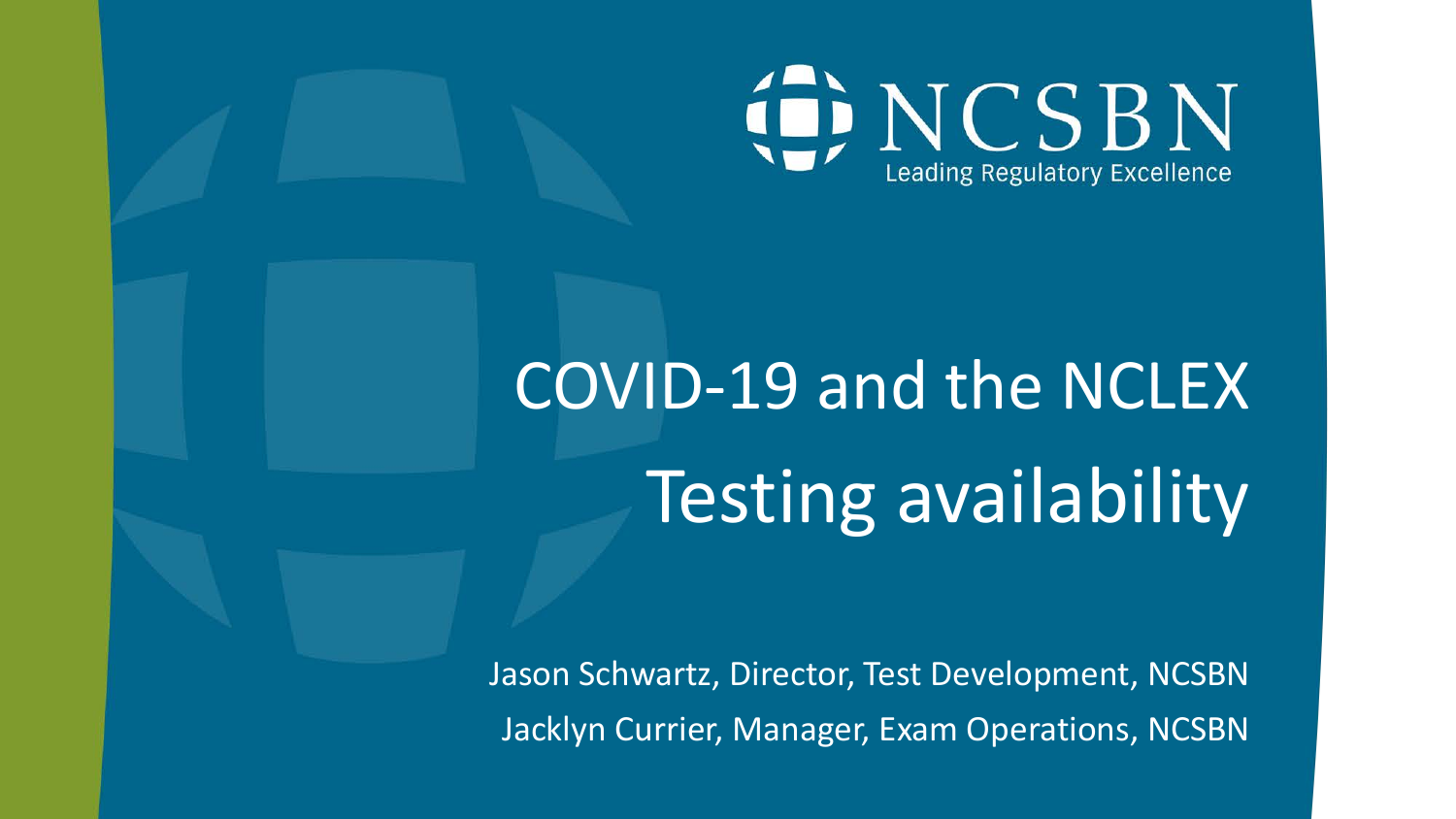

# COVID-19 and the NCLEX Testing availability

Jason Schwartz, Director, Test Development, NCSBN Jacklyn Currier, Manager, Exam Operations, NCSBN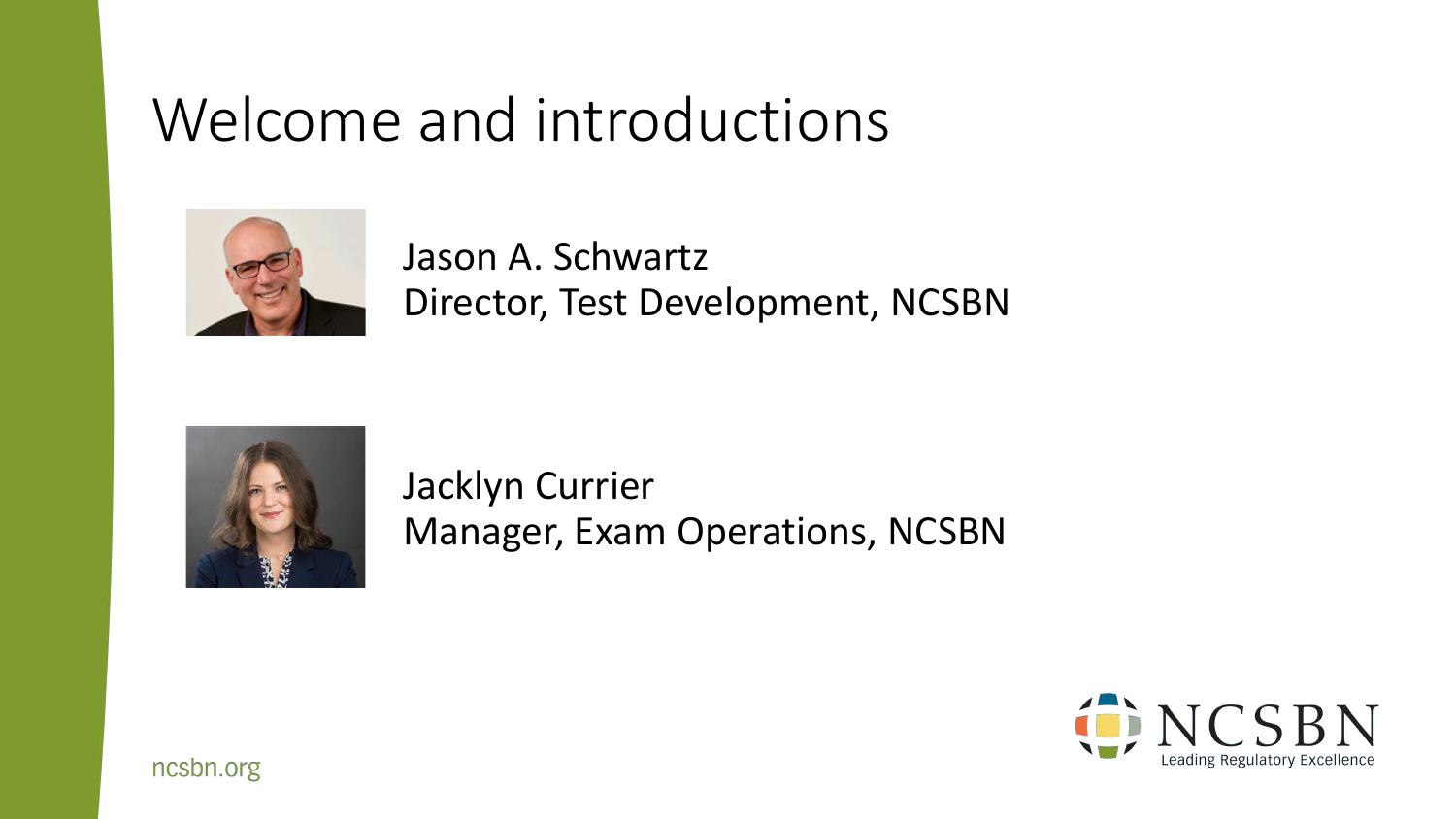#### Welcome and introductions



Jason A. Schwartz Director, Test Development, NCSBN



Jacklyn Currier Manager, Exam Operations, NCSBN

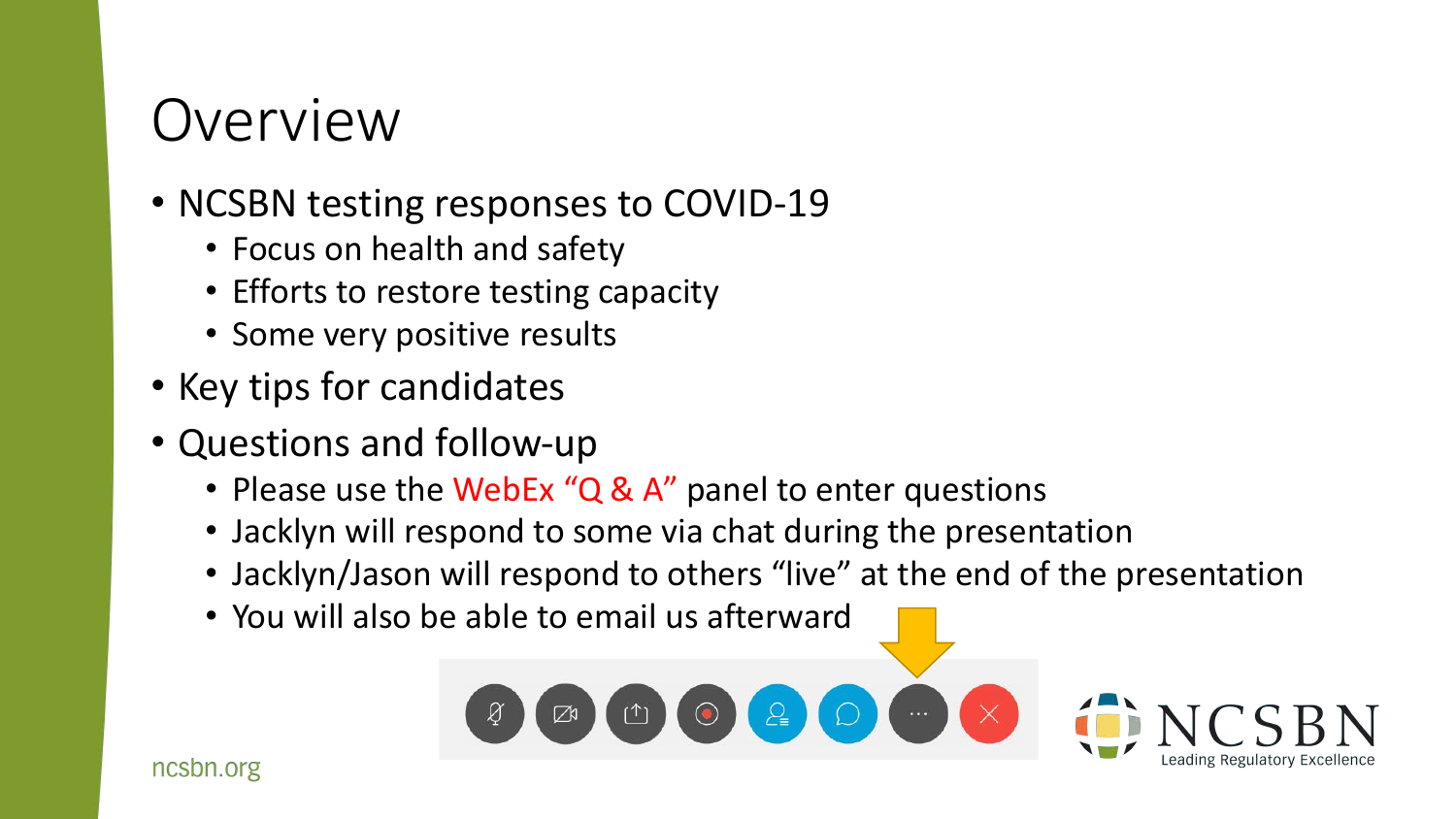#### Overview

- NCSBN testing responses to COVID-19
	- Focus on health and safety
	- Efforts to restore testing capacity
	- Some very positive results
- Key tips for candidates
- Questions and follow-up
	- Please use the WebEx "Q & A" panel to enter questions
	- Jacklyn will respond to some via chat during the presentation
	- Jacklyn/Jason will respond to others "live" at the end of the presentation
	- You will also be able to email us afterward

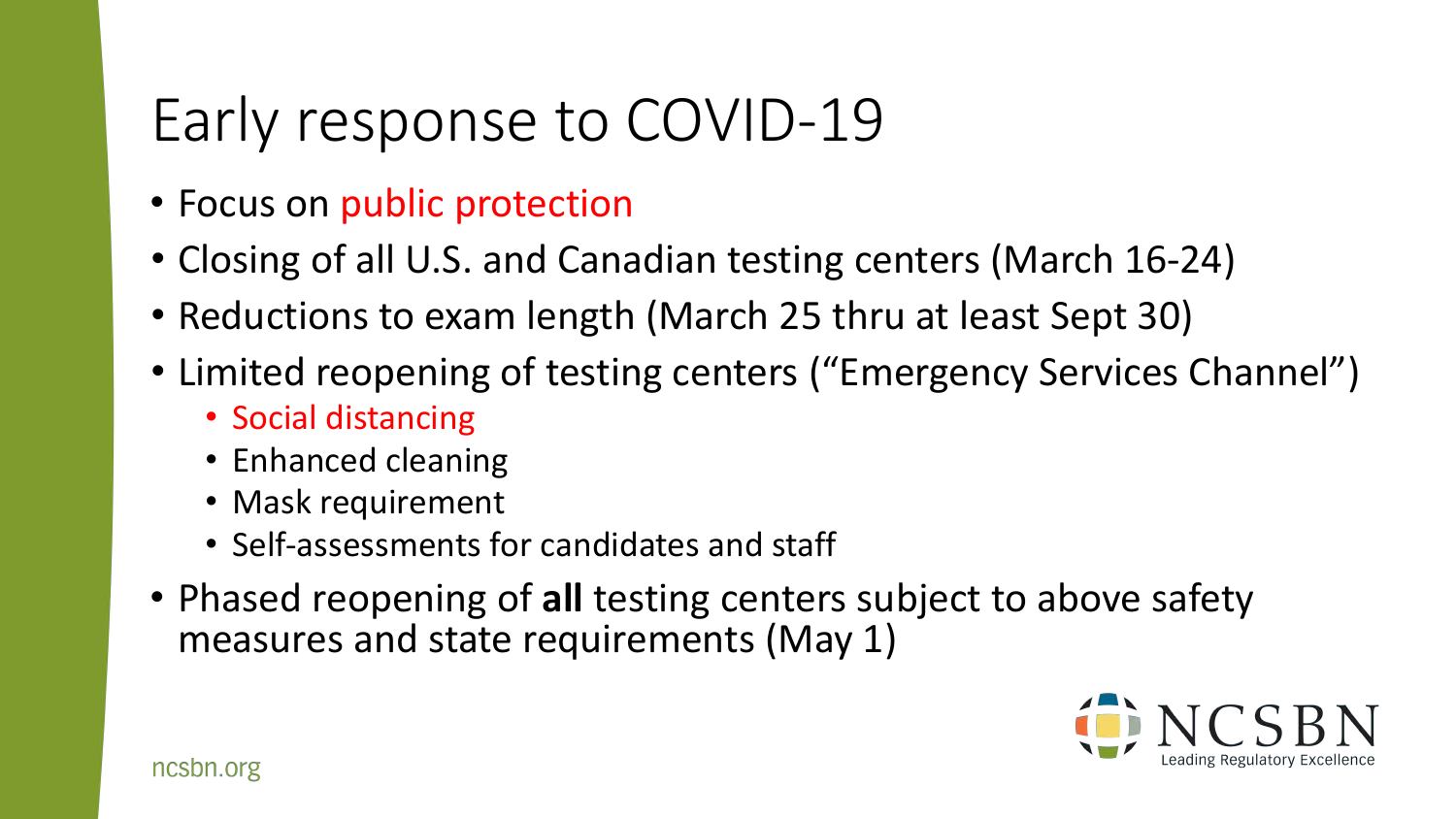# Early response to COVID-19

- Focus on public protection
- Closing of all U.S. and Canadian testing centers (March 16-24)
- Reductions to exam length (March 25 thru at least Sept 30)
- Limited reopening of testing centers ("Emergency Services Channel")
	- Social distancing
	- Enhanced cleaning
	- Mask requirement
	- Self-assessments for candidates and staff
- Phased reopening of **all** testing centers subject to above safety measures and state requirements (May 1)

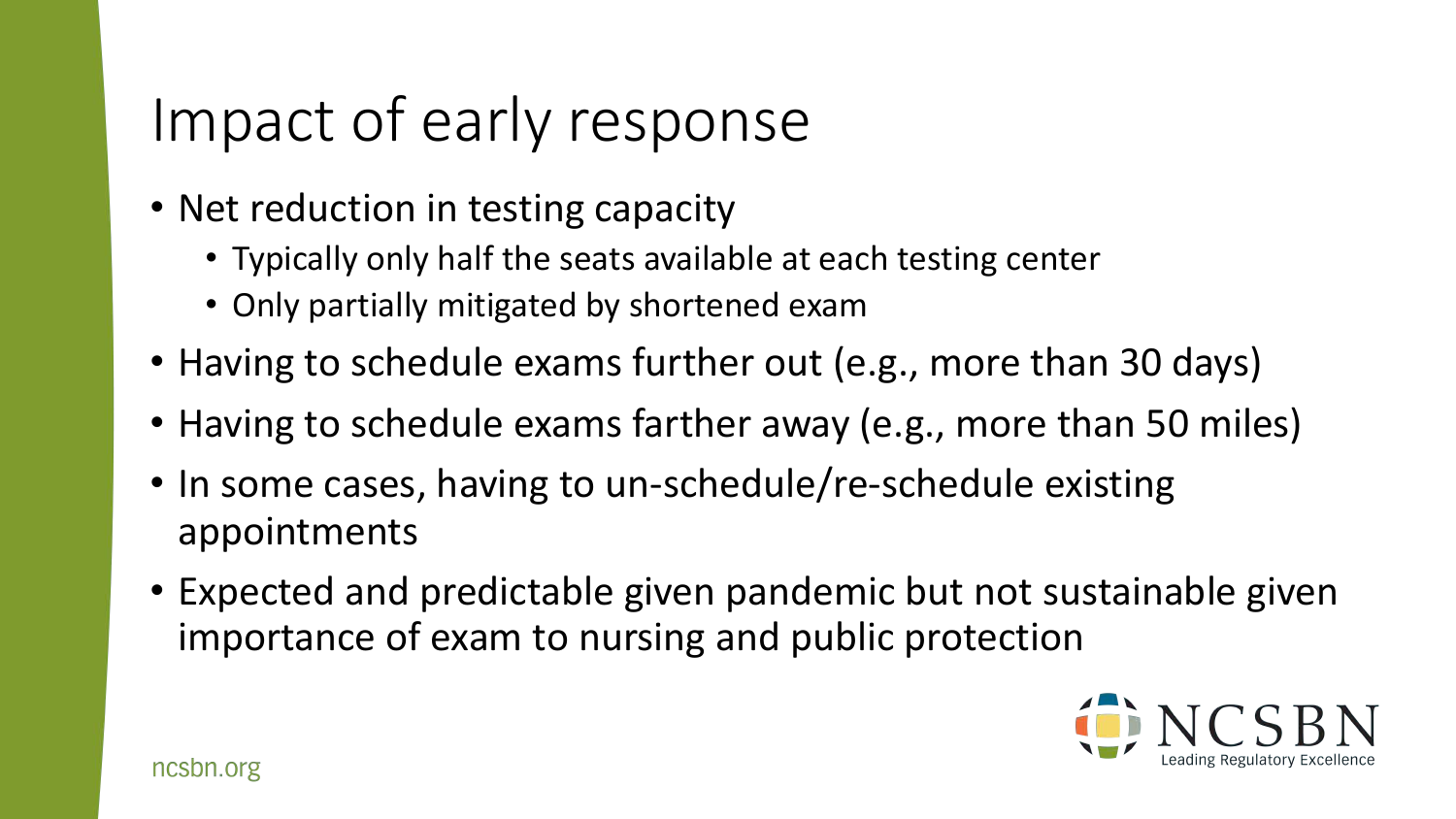## Impact of early response

- Net reduction in testing capacity
	- Typically only half the seats available at each testing center
	- Only partially mitigated by shortened exam
- Having to schedule exams further out (e.g., more than 30 days)
- Having to schedule exams farther away (e.g., more than 50 miles)
- In some cases, having to un-schedule/re-schedule existing appointments
- Expected and predictable given pandemic but not sustainable given importance of exam to nursing and public protection

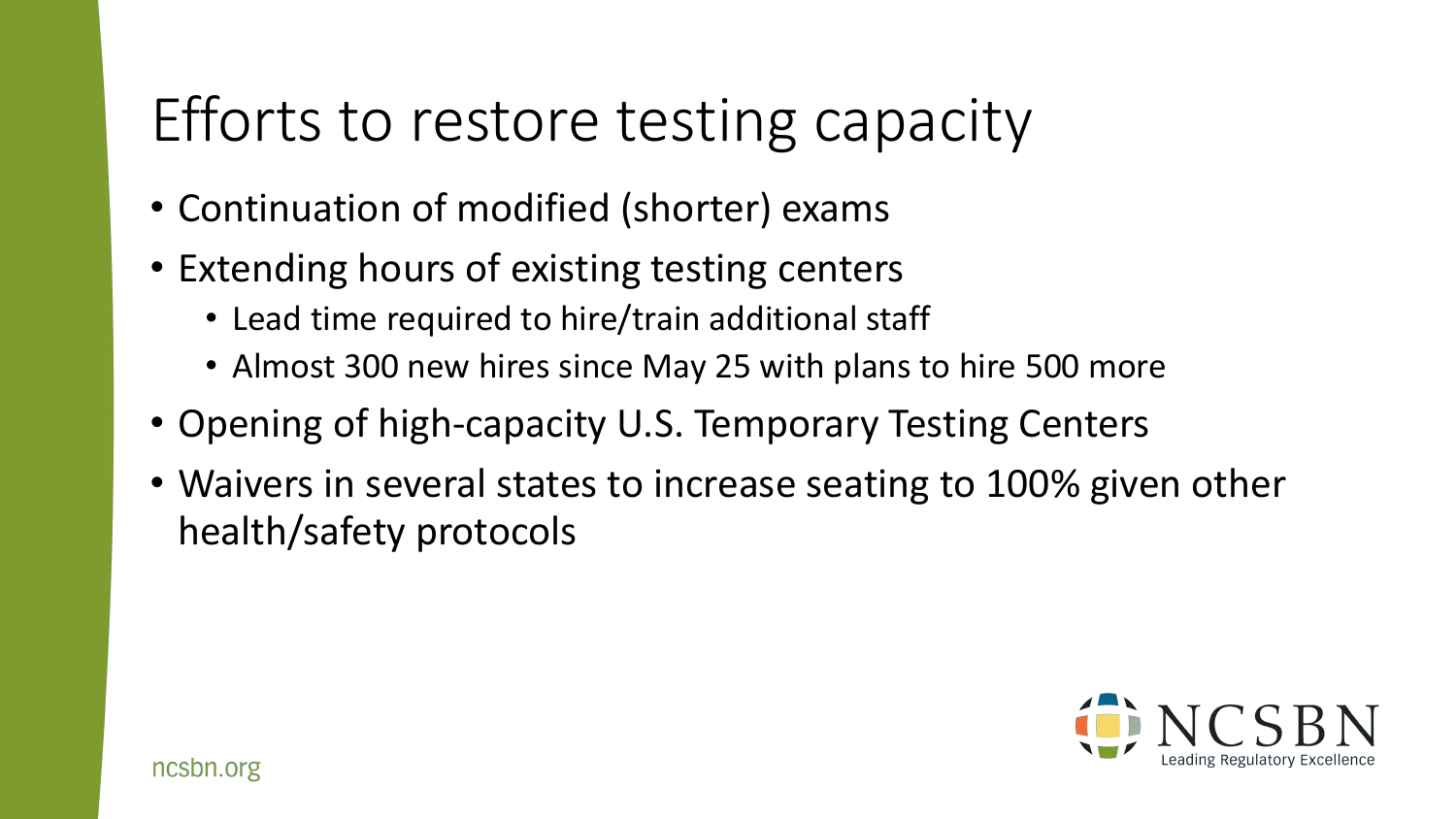## Efforts to restore testing capacity

- Continuation of modified (shorter) exams
- Extending hours of existing testing centers
	- Lead time required to hire/train additional staff
	- Almost 300 new hires since May 25 with plans to hire 500 more
- Opening of high-capacity U.S. Temporary Testing Centers
- Waivers in several states to increase seating to 100% given other health/safety protocols

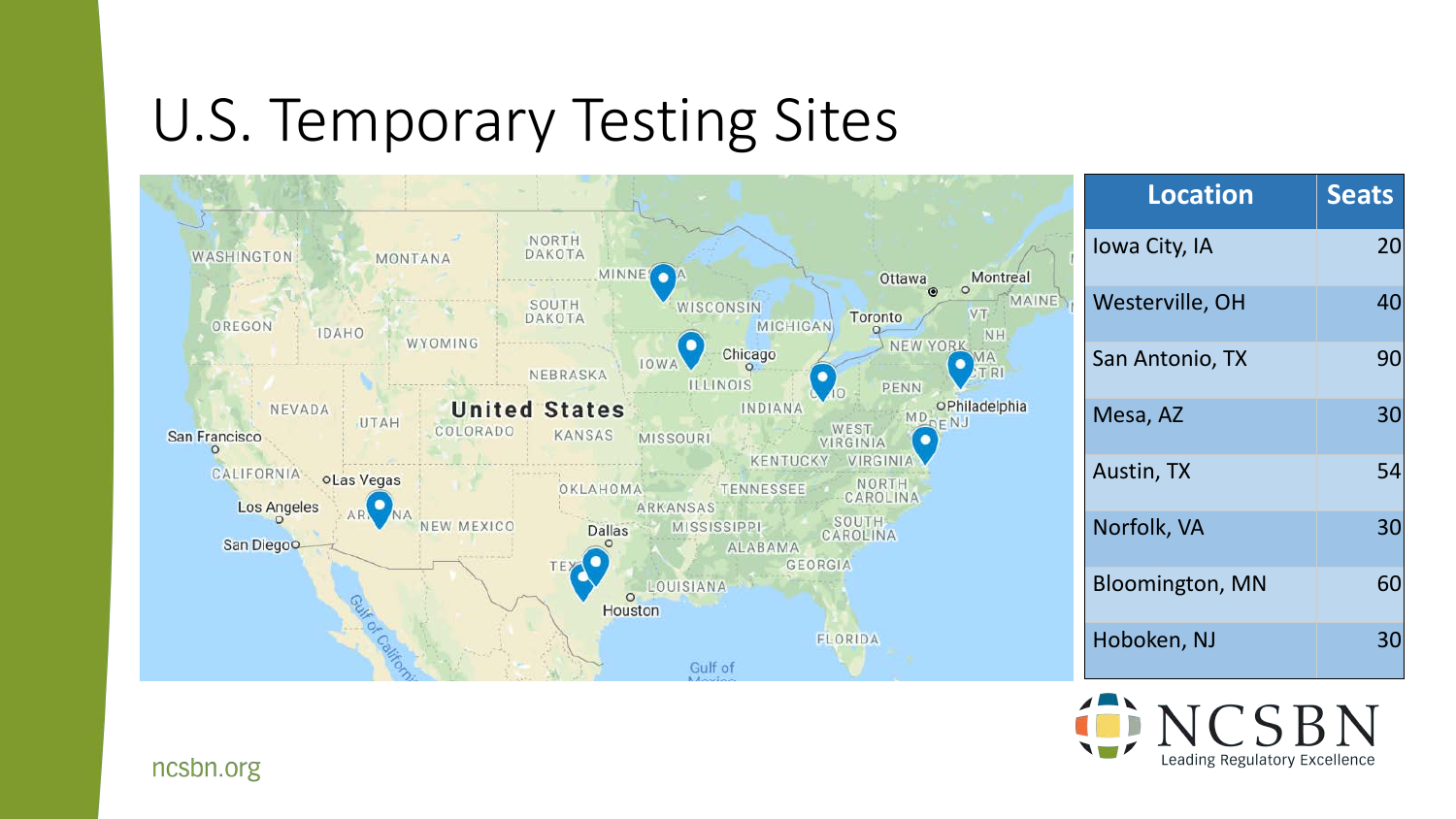#### U.S. Temporary Testing Sites



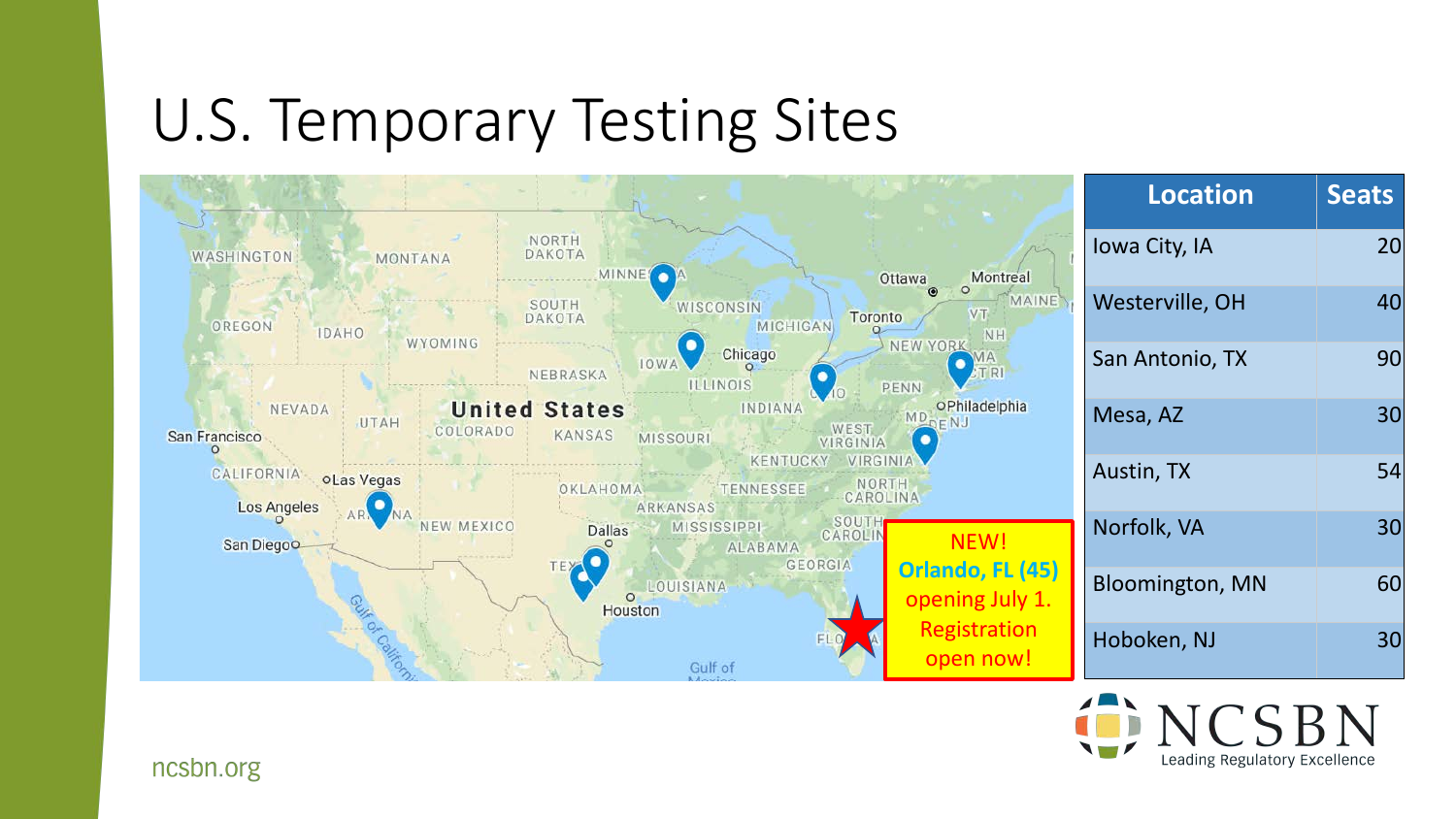#### U.S. Temporary Testing Sites



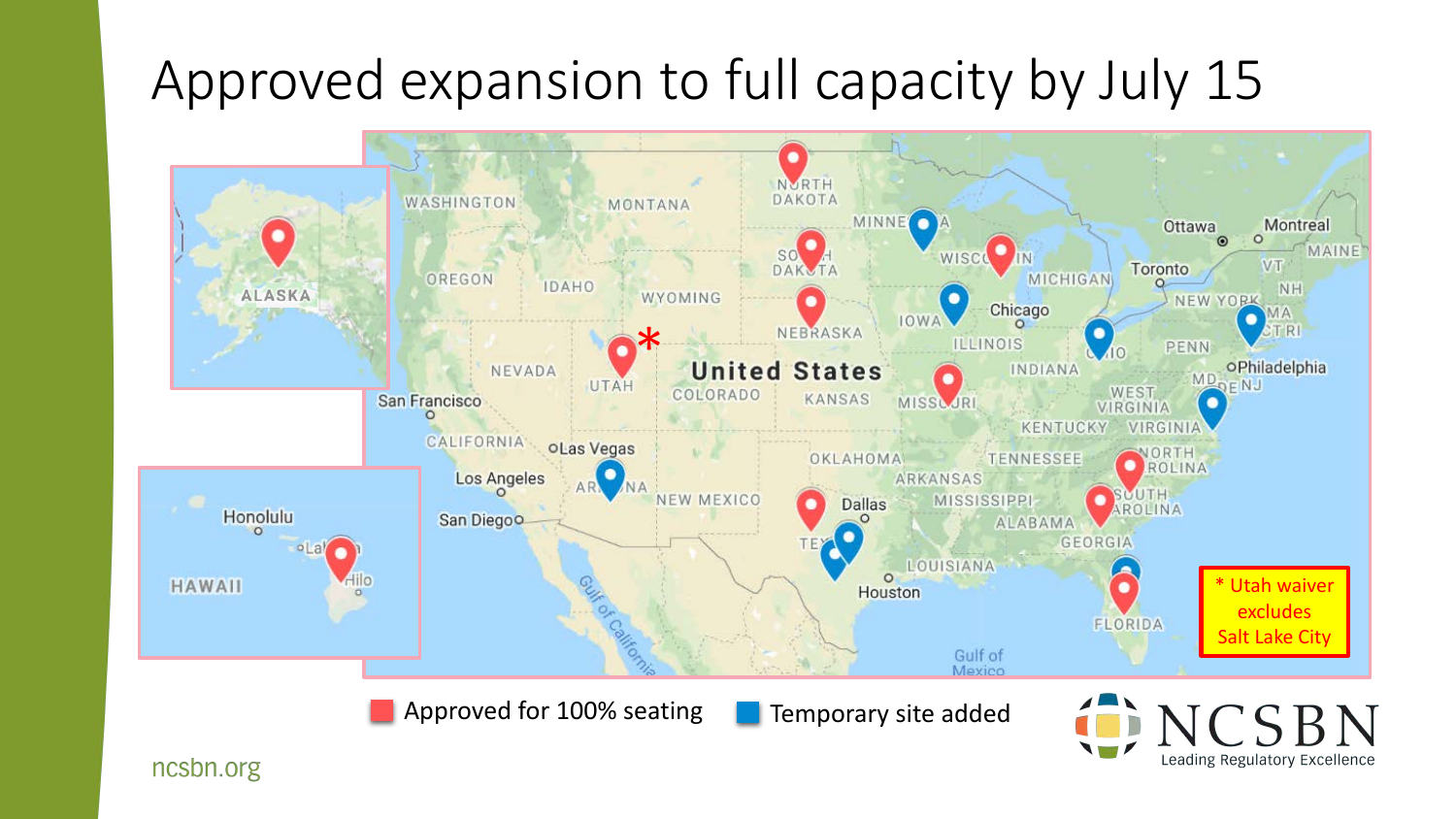#### Approved expansion to full capacity by July 15



ncsbn.org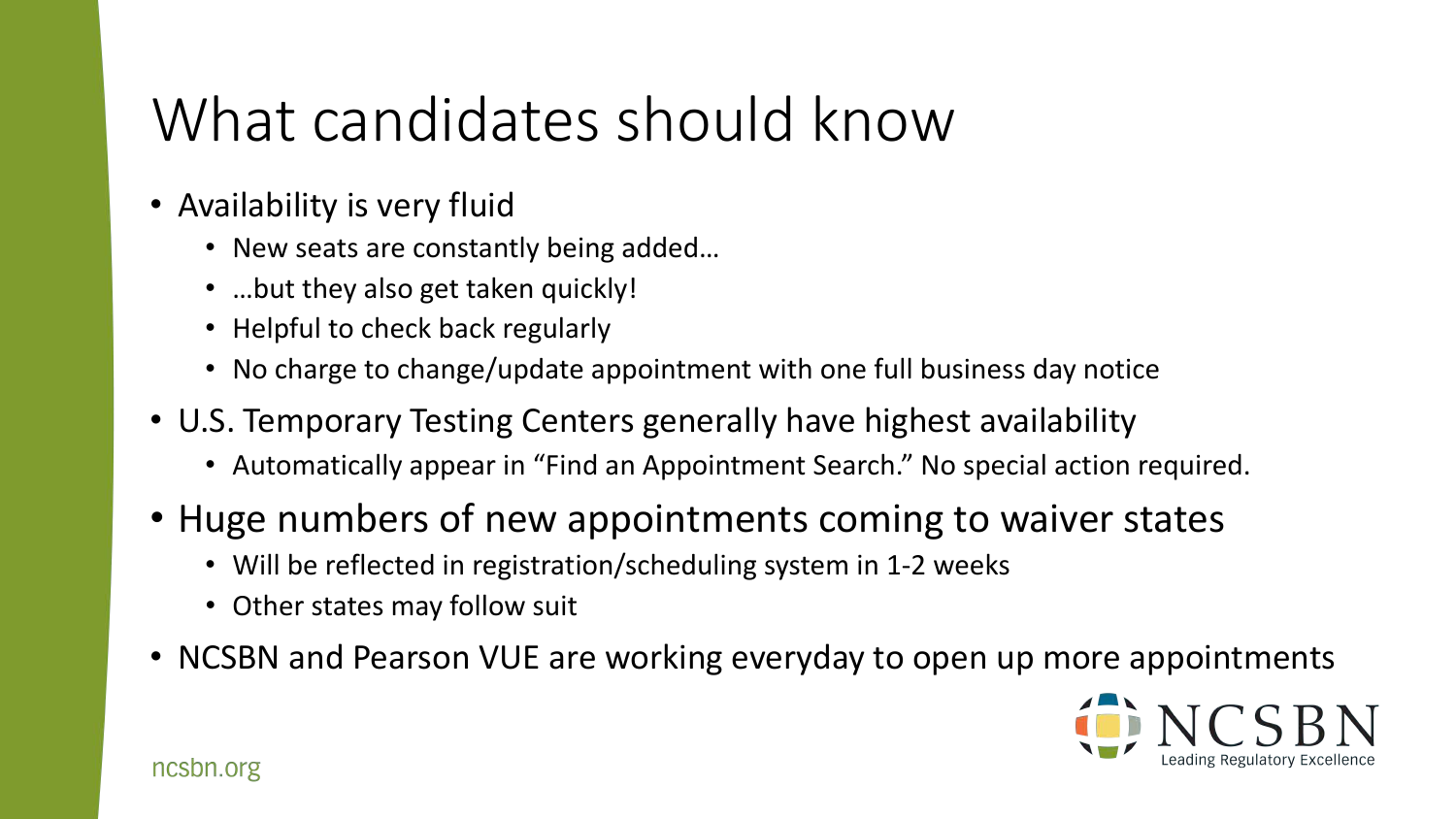## What candidates should know

- Availability is very fluid
	- New seats are constantly being added…
	- ...but they also get taken quickly!
	- Helpful to check back regularly
	- No charge to change/update appointment with one full business day notice
- U.S. Temporary Testing Centers generally have highest availability
	- Automatically appear in "Find an Appointment Search." No special action required.
- Huge numbers of new appointments coming to waiver states
	- Will be reflected in registration/scheduling system in 1-2 weeks
	- Other states may follow suit
- NCSBN and Pearson VUE are working everyday to open up more appointments